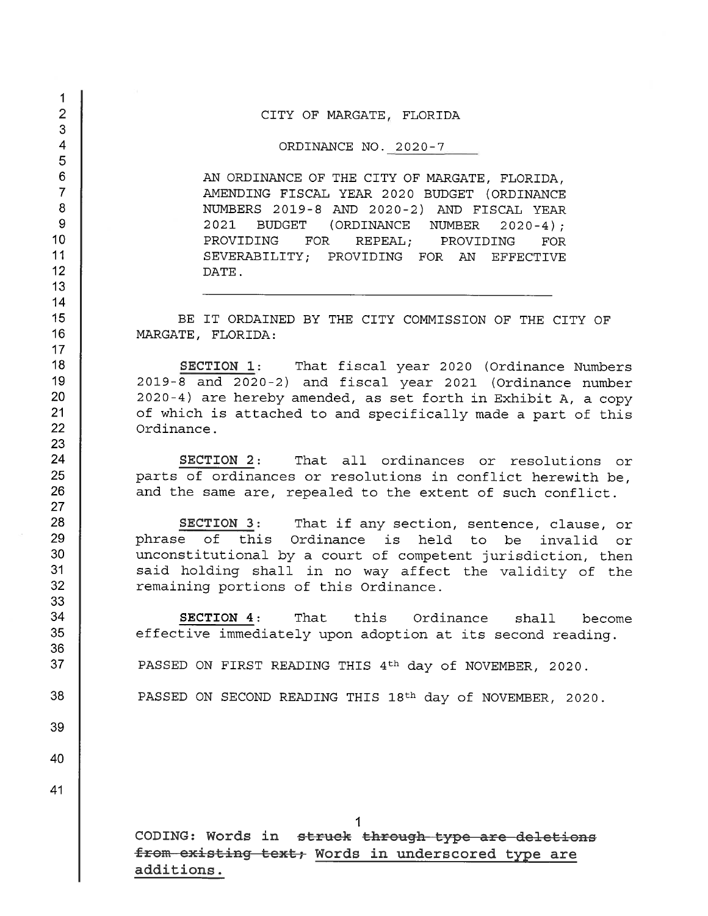CITY OF MARGATE, FLORIDA

ORDINANCE NO. 2020-7

AN ORDINANCE OF THE CITY OF MARGATE, FLORIDA, AMENDING FISCAL YEAR 2020 BUDGET (ORDINANCE NUMBERS 2019-8 AND 2020-2) AND FISCAL YEAR 2021 **BUDGET** (ORDINANCE NUMBER  $2020 - 4$  : PROVIDING **FOR** REPEAL: PROVIDING **FOR** SEVERABILITY; PROVIDING FOR AN **EFFECTIVE** DATE.

BE IT ORDAINED BY THE CITY COMMISSION OF THE CITY OF MARGATE, FLORIDA:

SECTION 1: That fiscal year 2020 (Ordinance Numbers 2019-8 and 2020-2) and fiscal year 2021 (Ordinance number 2020-4) are hereby amended, as set forth in Exhibit A, a copy of which is attached to and specifically made a part of this Ordinance.

SECTION 2: That all ordinances or resolutions or parts of ordinances or resolutions in conflict herewith be, and the same are, repealed to the extent of such conflict.

SECTION 3: That if any section, sentence, clause, or phrase of this Ordinance is held to be invalid or unconstitutional by a court of competent jurisdiction, then said holding shall in no way affect the validity of the remaining portions of this Ordinance.

That this Ordinance SECTION 4: shall become effective immediately upon adoption at its second reading.

PASSED ON FIRST READING THIS 4th day of NOVEMBER, 2020.

PASSED ON SECOND READING THIS 18th day of NOVEMBER, 2020.

40 41

 $\mathbf{1}$  $\overline{2}$ 

3  $\overline{\mathbf{A}}$ 

5 6

 $\overline{7}$ 

8

9

 $10<sub>10</sub>$ 

 $11$ 

 $12$ 

 $13$  $14$ 15

 $16$ 

 $17$ 18

19

20

 $21$ 

22

23 24

25

26

27 28

29

30

 $31$ 

32 33 34

35 36 37

38

39

CODING: Words in struck through type are deletions from existing text; Words in underscored type are additions.

 $\mathbf 1$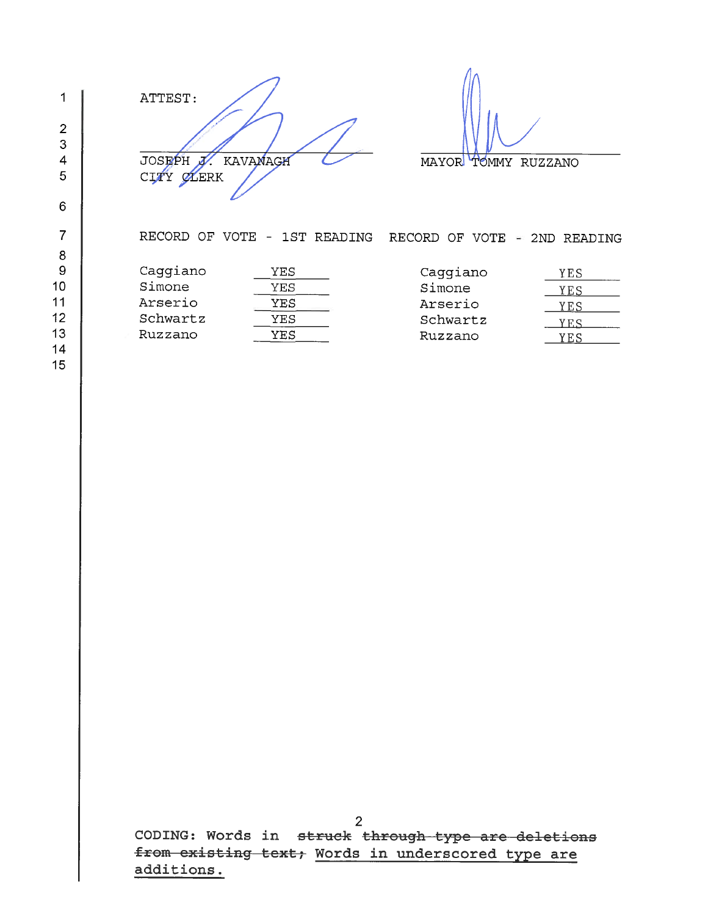ATTEST: JOSEPH J. KAVANAGH

MAYOR TOMMY RUZZANO

|          | RECORD OF VOTE - 1ST READING | RECORD OF VOTE - 2ND READING |     |
|----------|------------------------------|------------------------------|-----|
| Caggiano | YES                          | Caggiano                     | YES |
| Simone   | YES                          | Simone                       | YES |
| Arserio  | YES.                         | Arserio                      | YES |
| Schwartz | YES                          | Schwartz                     | YES |
| Ruzzano  | YES                          | Ruzzano                      | YES |
|          |                              |                              |     |

2<br>CODING: Words in struck through type are deletions from existing text, Words in underscored type are additions.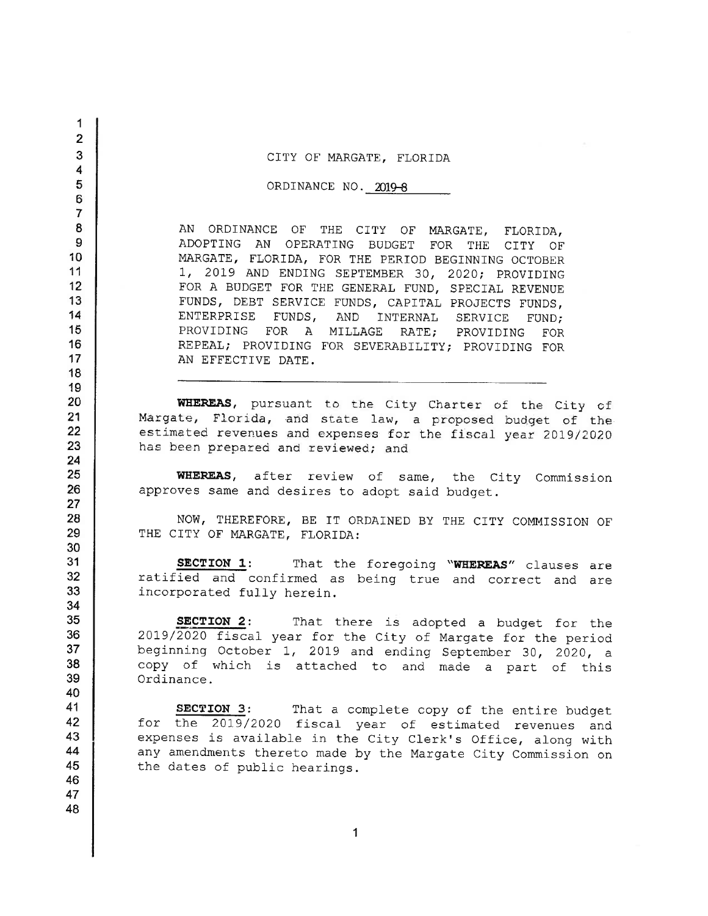| CITY OF MARGATE, FLORIDA                                                                                                                                                                                                                                                                                                                                                                                                                                                                                   |
|------------------------------------------------------------------------------------------------------------------------------------------------------------------------------------------------------------------------------------------------------------------------------------------------------------------------------------------------------------------------------------------------------------------------------------------------------------------------------------------------------------|
| ORDINANCE NO. 2019-8                                                                                                                                                                                                                                                                                                                                                                                                                                                                                       |
| AN ORDINANCE OF THE CITY OF MARGATE, FLORIDA,<br>ADOPTING AN OPERATING BUDGET FOR<br>THE CITY OF<br>MARGATE, FLORIDA, FOR THE PERIOD BEGINNING OCTOBER<br>1, 2019 AND ENDING SEPTEMBER 30, 2020; PROVIDING<br>FOR A BUDGET FOR THE GENERAL FUND, SPECIAL REVENUE<br>FUNDS, DEBT SERVICE FUNDS, CAPITAL PROJECTS FUNDS,<br>ENTERPRISE FUNDS, AND INTERNAL SERVICE FUND;<br>PROVIDING FOR A MILLAGE RATE; PROVIDING<br><b>FOR</b><br>REPEAL; PROVIDING FOR SEVERABILITY; PROVIDING FOR<br>AN EFFECTIVE DATE. |
| WHEREAS, pursuant to the City Charter of the City of<br>Margate, Florida, and state law, a proposed budget of the<br>estimated revenues and expenses for the fiscal year 2019/2020<br>has been prepared and reviewed; and                                                                                                                                                                                                                                                                                  |
| WHEREAS, after review of same, the City Commission<br>approves same and desires to adopt said budget.                                                                                                                                                                                                                                                                                                                                                                                                      |
| NOW, THEREFORE, BE IT ORDAINED BY THE CITY COMMISSION OF<br>THE CITY OF MARGATE, FLORIDA:                                                                                                                                                                                                                                                                                                                                                                                                                  |
| SECTION 1: That the foregoing "WHEREAS" clauses are<br>ratified and confirmed as being true and correct and are<br>incorporated fully herein.                                                                                                                                                                                                                                                                                                                                                              |
| SECTION 2: That there is adopted a budget for the<br>2019/2020 fiscal year for the City of Margate for the period<br>beginning October 1, 2019 and ending September 30, 2020, a<br>copy of which is attached to and made a part of this<br>Ordinance.                                                                                                                                                                                                                                                      |
| SECTION 3:<br>That a complete copy of the entire budget<br>for the 2019/2020 fiscal year of estimated revenues and<br>expenses is available in the City Clerk's Office, along with<br>any amendments thereto made by the Margate City Commission on                                                                                                                                                                                                                                                        |

 $\mathbf{1}$ 

the dates of public hearings.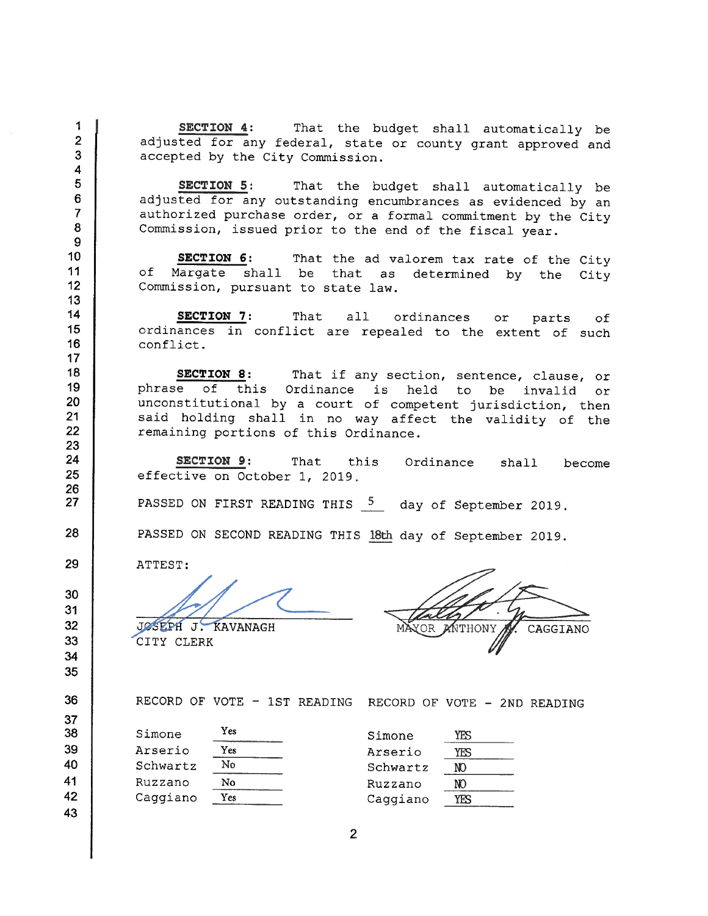SECTION 4: That the budget shall automatically be adjusted for any federal, state or county grant approved and accepted by the City Commission.

SECTION 5: That the budget shall automatically be adjusted for any outstanding encumbrances as evidenced by an authorized purchase order, or a formal commitment by the City Commission, issued prior to the end of the fiscal year.

SECTION 6: That the ad valorem tax rate of the City Margate shall be that as of determined by the City Commission, pursuant to state law.

SECTION 7: That  $a11$ ordinances or parts of ordinances in conflict are repealed to the extent of such conflict.

SECTION 8: That if any section, sentence, clause, or phrase of this Ordinance is held to be invalid or unconstitutional by a court of competent jurisdiction, then said holding shall in no way affect the validity of the remaining portions of this Ordinance.

SECTION 9: That this Ordinance shall become effective on October 1, 2019.

PASSED ON FIRST READING THIS 5 day of September 2019.

PASSED ON SECOND READING THIS 18th day of September 2019.

ATTEST:

 $\mathbf 1$ 

 $\overline{2}$ 

3

 $\overline{\mathbf{4}}$ 5

6

 $\overline{7}$ 

8

9 10

11

 $12$ 

13 14

15

16

 $17$ 18

19

20

 $21$ 

22 23 24

25

26

27

28

29

30  $31$ 

 $32$ 

33

34 35

36

37 38

39

40

41

42

43

**JOSEPH J. KAVANAGH** CITY CLERK

YOR NTHON CAGGIANO

RECORD OF VOTE - 1ST READING RECORD OF VOTE - 2ND READING

| Simone   | Yes: | Simone   | YFS |
|----------|------|----------|-----|
| Arserio  | Yes  | Arserio  | YFS |
| Schwartz | No   | Schwartz | NO  |
| Ruzzano  | No   | Ruzzano  | N)  |
| Caqqiano | Yes  | Caggiano | YFS |

 $\overline{2}$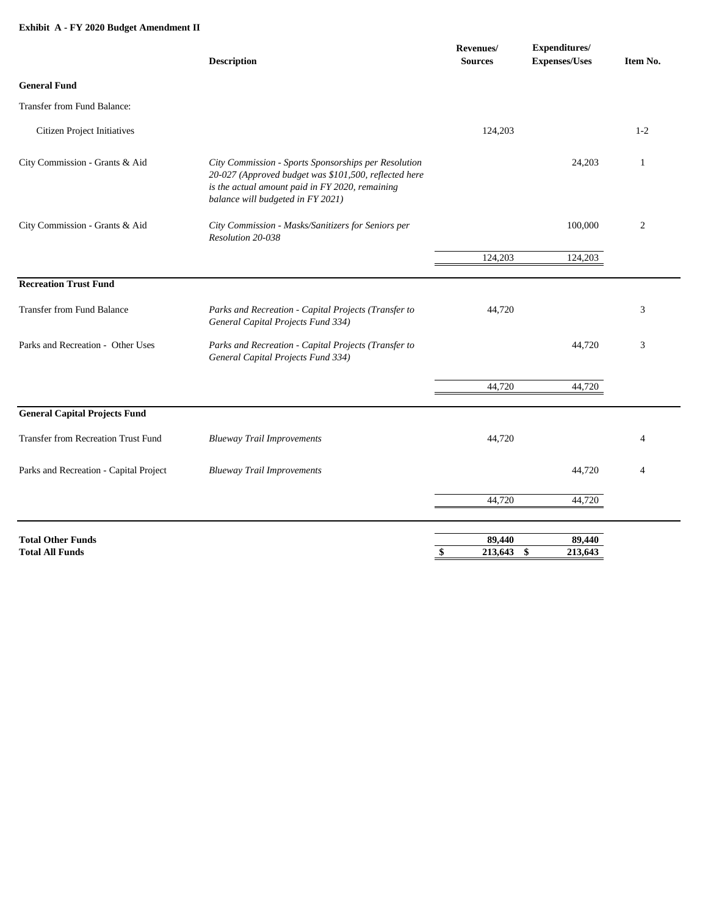## **Exhibit A - FY 2020 Budget Amendment II**

|                                                    | <b>Description</b>                                                                                                                                                                                    | Revenues/<br><b>Sources</b> | Expenditures/<br><b>Expenses/Uses</b> | Item No.       |
|----------------------------------------------------|-------------------------------------------------------------------------------------------------------------------------------------------------------------------------------------------------------|-----------------------------|---------------------------------------|----------------|
| <b>General Fund</b>                                |                                                                                                                                                                                                       |                             |                                       |                |
| Transfer from Fund Balance:                        |                                                                                                                                                                                                       |                             |                                       |                |
| Citizen Project Initiatives                        |                                                                                                                                                                                                       | 124,203                     |                                       | $1-2$          |
| City Commission - Grants & Aid                     | City Commission - Sports Sponsorships per Resolution<br>20-027 (Approved budget was \$101,500, reflected here<br>is the actual amount paid in FY 2020, remaining<br>balance will budgeted in FY 2021) |                             | 24,203                                | $\mathbf{1}$   |
| City Commission - Grants & Aid                     | City Commission - Masks/Sanitizers for Seniors per<br>Resolution 20-038                                                                                                                               |                             | 100,000                               | 2              |
|                                                    |                                                                                                                                                                                                       | 124,203                     | 124,203                               |                |
| <b>Recreation Trust Fund</b>                       |                                                                                                                                                                                                       |                             |                                       |                |
| <b>Transfer from Fund Balance</b>                  | Parks and Recreation - Capital Projects (Transfer to<br>General Capital Projects Fund 334)                                                                                                            | 44,720                      |                                       | 3              |
| Parks and Recreation - Other Uses                  | Parks and Recreation - Capital Projects (Transfer to<br>General Capital Projects Fund 334)                                                                                                            |                             | 44,720                                | 3              |
|                                                    |                                                                                                                                                                                                       | 44,720                      | 44,720                                |                |
| <b>General Capital Projects Fund</b>               |                                                                                                                                                                                                       |                             |                                       |                |
| <b>Transfer from Recreation Trust Fund</b>         | <b>Blueway Trail Improvements</b>                                                                                                                                                                     | 44,720                      |                                       | $\overline{4}$ |
| Parks and Recreation - Capital Project             | <b>Blueway Trail Improvements</b>                                                                                                                                                                     |                             | 44,720                                | $\overline{4}$ |
|                                                    |                                                                                                                                                                                                       | 44,720                      | 44,720                                |                |
| <b>Total Other Funds</b><br><b>Total All Funds</b> |                                                                                                                                                                                                       | 89,440<br>\$<br>213,643     | 89,440<br>$\mathbf{s}$<br>213,643     |                |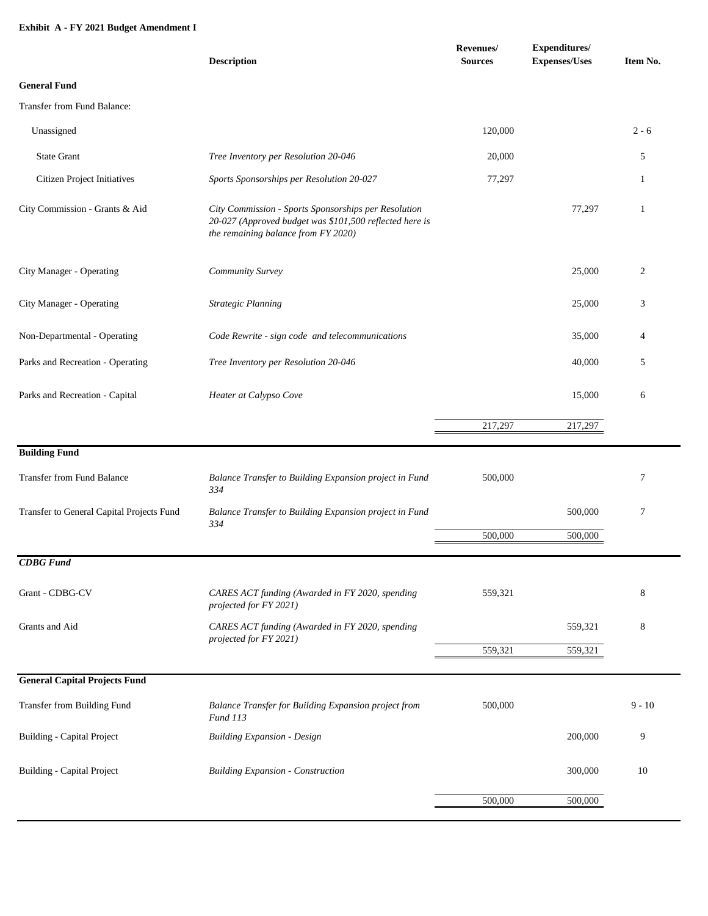## **Exhibit A - FY 2021 Budget Amendment I**

|                                           | <b>Description</b>                                                                                                                                     | Revenues/<br><b>Sources</b> | <b>Expenditures/</b><br><b>Expenses/Uses</b> | Item No. |
|-------------------------------------------|--------------------------------------------------------------------------------------------------------------------------------------------------------|-----------------------------|----------------------------------------------|----------|
| <b>General Fund</b>                       |                                                                                                                                                        |                             |                                              |          |
| Transfer from Fund Balance:               |                                                                                                                                                        |                             |                                              |          |
| Unassigned                                |                                                                                                                                                        | 120,000                     |                                              | $2 - 6$  |
| <b>State Grant</b>                        | Tree Inventory per Resolution 20-046                                                                                                                   | 20,000                      |                                              | 5        |
| Citizen Project Initiatives               | Sports Sponsorships per Resolution 20-027                                                                                                              | 77,297                      |                                              | 1        |
| City Commission - Grants & Aid            | City Commission - Sports Sponsorships per Resolution<br>20-027 (Approved budget was \$101,500 reflected here is<br>the remaining balance from FY 2020) |                             | 77,297                                       | 1        |
| City Manager - Operating                  | Community Survey                                                                                                                                       |                             | 25,000                                       | 2        |
| City Manager - Operating                  | <b>Strategic Planning</b>                                                                                                                              |                             | 25,000                                       | 3        |
| Non-Departmental - Operating              | Code Rewrite - sign code and telecommunications                                                                                                        |                             | 35,000                                       | 4        |
| Parks and Recreation - Operating          | Tree Inventory per Resolution 20-046                                                                                                                   |                             | 40,000                                       | 5        |
| Parks and Recreation - Capital            | Heater at Calypso Cove                                                                                                                                 |                             | 15,000                                       | 6        |
|                                           |                                                                                                                                                        | 217,297                     | 217,297                                      |          |
| <b>Building Fund</b>                      |                                                                                                                                                        |                             |                                              |          |
| <b>Transfer from Fund Balance</b>         | Balance Transfer to Building Expansion project in Fund<br>334                                                                                          | 500,000                     |                                              | 7        |
| Transfer to General Capital Projects Fund | Balance Transfer to Building Expansion project in Fund<br>334                                                                                          |                             | 500,000                                      | 7        |
|                                           |                                                                                                                                                        | 500,000                     | 500,000                                      |          |
| <b>CDBG</b> Fund                          |                                                                                                                                                        |                             |                                              |          |
| Grant - CDBG-CV                           | CARES ACT funding (Awarded in FY 2020, spending<br>projected for FY 2021)                                                                              | 559,321                     |                                              | 8        |
| Grants and Aid                            | CARES ACT funding (Awarded in FY 2020, spending<br>projected for FY 2021)                                                                              |                             | 559,321                                      | 8        |
|                                           |                                                                                                                                                        | 559,321                     | 559,321                                      |          |
| <b>General Capital Projects Fund</b>      |                                                                                                                                                        |                             |                                              |          |
| Transfer from Building Fund               | Balance Transfer for Building Expansion project from<br><b>Fund 113</b>                                                                                | 500,000                     |                                              | $9 - 10$ |
| <b>Building - Capital Project</b>         | <b>Building Expansion - Design</b>                                                                                                                     |                             | 200,000                                      | 9        |
| <b>Building - Capital Project</b>         | <b>Building Expansion - Construction</b>                                                                                                               |                             | 300,000                                      | 10       |
|                                           |                                                                                                                                                        | 500,000                     | 500,000                                      |          |